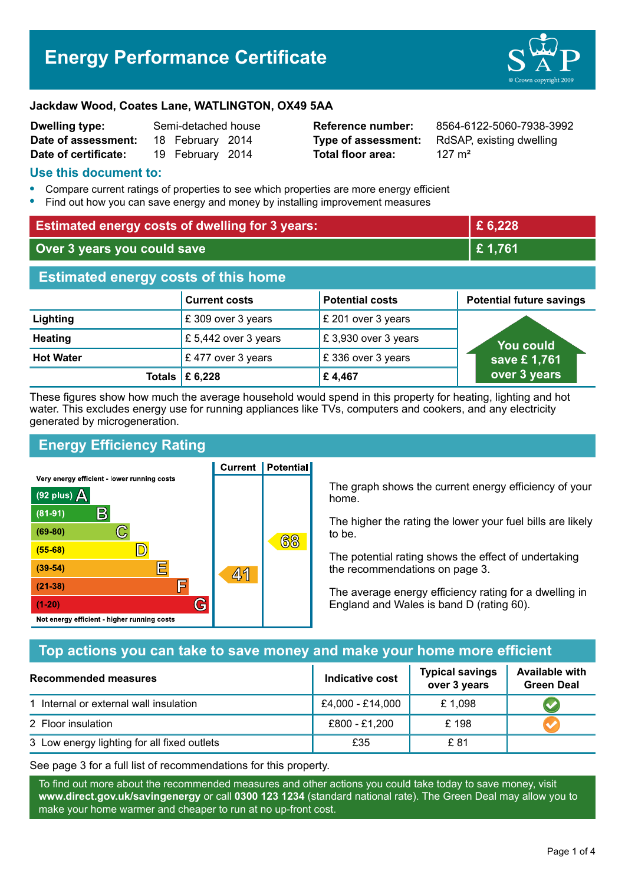# **Energy Performance Certificate**



#### **Jackdaw Wood, Coates Lane, WATLINGTON, OX49 5AA**

| Dwelling type:       | Semi-detached house |                  |  |
|----------------------|---------------------|------------------|--|
| Date of assessment:  |                     | 18 February 2014 |  |
| Date of certificate: |                     | 19 February 2014 |  |

**Total floor area:** 127 m<sup>2</sup>

**Reference number:** 8564-6122-5060-7938-3992 **Type of assessment:** RdSAP, existing dwelling

#### **Use this document to:**

- **•** Compare current ratings of properties to see which properties are more energy efficient
- **•** Find out how you can save energy and money by installing improvement measures

| <b>Estimated energy costs of dwelling for 3 years:</b> |                      |                        | £ 6,228                         |  |
|--------------------------------------------------------|----------------------|------------------------|---------------------------------|--|
| Over 3 years you could save                            |                      | £1,761                 |                                 |  |
| <b>Estimated energy costs of this home</b>             |                      |                        |                                 |  |
|                                                        | <b>Current costs</b> | <b>Potential costs</b> | <b>Potential future savings</b> |  |
| Lighting                                               | £ 309 over 3 years   | £ 201 over 3 years     |                                 |  |
| <b>Heating</b>                                         | £ 5,442 over 3 years | £ 3,930 over 3 years   | <b>You could</b>                |  |
| <b>Hot Water</b>                                       | £477 over 3 years    | £336 over 3 years      | save £1,761                     |  |
| Totals                                                 | £ 6,228              | £4,467                 | over 3 years                    |  |

These figures show how much the average household would spend in this property for heating, lighting and hot water. This excludes energy use for running appliances like TVs, computers and cookers, and any electricity generated by microgeneration.

**Current | Potential** 

## **Energy Efficiency Rating**

Very energy efficient - lower running costs



The graph shows the current energy efficiency of your home.

The higher the rating the lower your fuel bills are likely to be.

The potential rating shows the effect of undertaking the recommendations on page 3.

The average energy efficiency rating for a dwelling in England and Wales is band D (rating 60).

#### **Top actions you can take to save money and make your home more efficient**

| <b>Recommended measures</b>                 | Indicative cost  | <b>Typical savings</b><br>over 3 years | <b>Available with</b><br><b>Green Deal</b> |
|---------------------------------------------|------------------|----------------------------------------|--------------------------------------------|
| 1 Internal or external wall insulation      | £4,000 - £14,000 | £1,098                                 |                                            |
| 2 Floor insulation                          | £800 - £1,200    | £198                                   |                                            |
| 3 Low energy lighting for all fixed outlets | £35              | £ 81                                   |                                            |

See page 3 for a full list of recommendations for this property.

To find out more about the recommended measures and other actions you could take today to save money, visit **www.direct.gov.uk/savingenergy** or call **0300 123 1234** (standard national rate). The Green Deal may allow you to make your home warmer and cheaper to run at no up-front cost.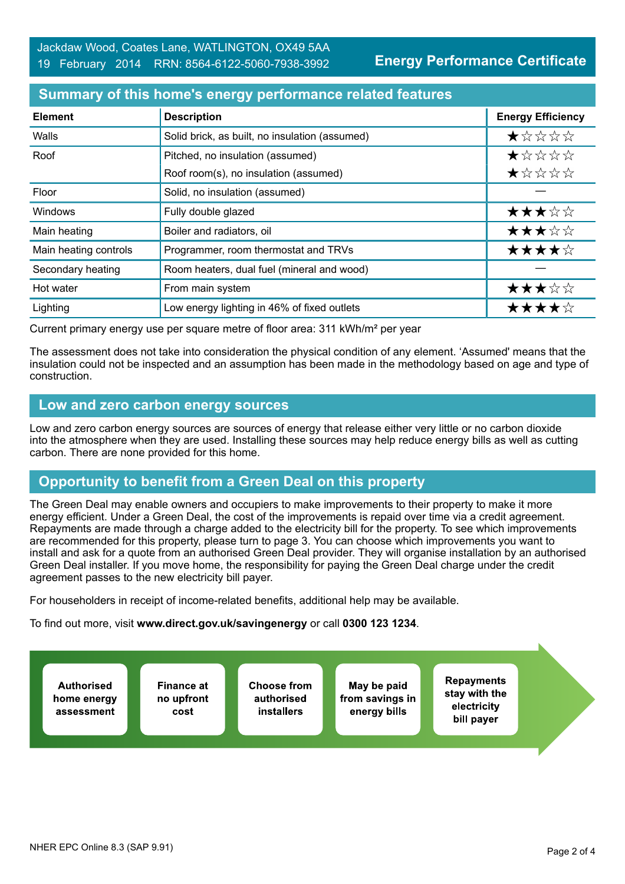#### **Summary of this home's energy performance related features**

| <b>Element</b>        | <b>Description</b>                             | <b>Energy Efficiency</b> |
|-----------------------|------------------------------------------------|--------------------------|
| Walls                 | Solid brick, as built, no insulation (assumed) | $\star$ * * * *          |
| Roof                  | Pitched, no insulation (assumed)               | *****                    |
|                       | Roof room(s), no insulation (assumed)          | $\star$ * * * *          |
| Floor                 | Solid, no insulation (assumed)                 |                          |
| <b>Windows</b>        | Fully double glazed                            | ★★★☆☆                    |
| Main heating          | Boiler and radiators, oil                      | ★★★☆☆                    |
| Main heating controls | Programmer, room thermostat and TRVs           | ★★★★☆                    |
| Secondary heating     | Room heaters, dual fuel (mineral and wood)     |                          |
| Hot water             | From main system                               | ★★★☆☆                    |
| Lighting              | Low energy lighting in 46% of fixed outlets    | ★★★★☆                    |

Current primary energy use per square metre of floor area: 311 kWh/m² per year

The assessment does not take into consideration the physical condition of any element. 'Assumed' means that the insulation could not be inspected and an assumption has been made in the methodology based on age and type of construction.

#### **Low and zero carbon energy sources**

Low and zero carbon energy sources are sources of energy that release either very little or no carbon dioxide into the atmosphere when they are used. Installing these sources may help reduce energy bills as well as cutting carbon. There are none provided for this home.

## **Opportunity to benefit from a Green Deal on this property**

The Green Deal may enable owners and occupiers to make improvements to their property to make it more energy efficient. Under a Green Deal, the cost of the improvements is repaid over time via a credit agreement. Repayments are made through a charge added to the electricity bill for the property. To see which improvements are recommended for this property, please turn to page 3. You can choose which improvements you want to install and ask for a quote from an authorised Green Deal provider. They will organise installation by an authorised Green Deal installer. If you move home, the responsibility for paying the Green Deal charge under the credit agreement passes to the new electricity bill payer.

For householders in receipt of income-related benefits, additional help may be available.

To find out more, visit **www.direct.gov.uk/savingenergy** or call **0300 123 1234**.

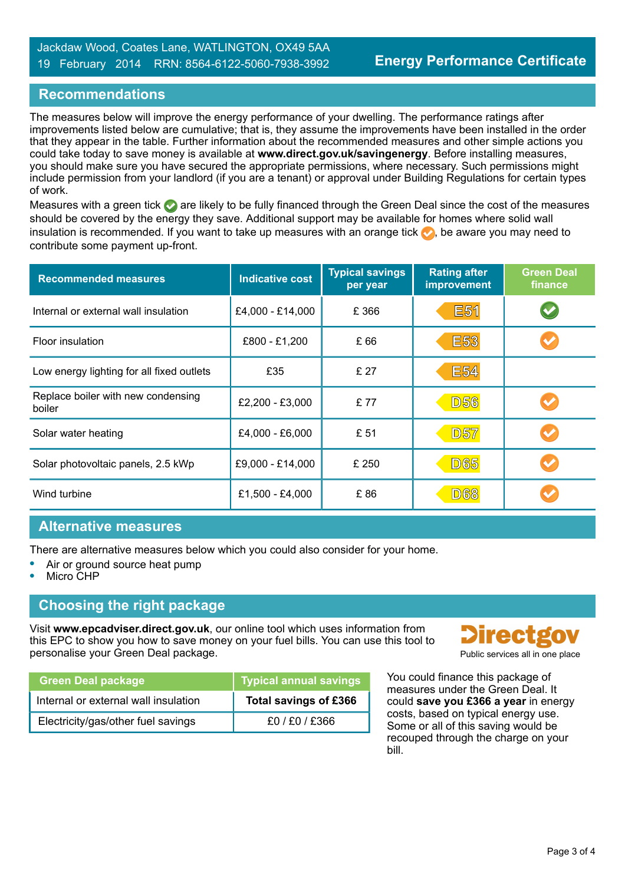#### **Recommendations**

The measures below will improve the energy performance of your dwelling. The performance ratings after improvements listed below are cumulative; that is, they assume the improvements have been installed in the order that they appear in the table. Further information about the recommended measures and other simple actions you could take today to save money is available at **www.direct.gov.uk/savingenergy**. Before installing measures, you should make sure you have secured the appropriate permissions, where necessary. Such permissions might include permission from your landlord (if you are a tenant) or approval under Building Regulations for certain types of work.

Measures with a green tick are likely to be fully financed through the Green Deal since the cost of the measures should be covered by the energy they save. Additional support may be available for homes where solid wall insulation is recommended. If you want to take up measures with an orange tick  $\bullet$ , be aware you may need to contribute some payment up-front.

| <b>Recommended measures</b>                  | <b>Indicative cost</b> | <b>Typical savings</b><br>per year | <b>Rating after</b><br>improvement | <b>Green Deal</b><br>finance |
|----------------------------------------------|------------------------|------------------------------------|------------------------------------|------------------------------|
| Internal or external wall insulation         | £4,000 - £14,000       | £366                               | <b>E51</b>                         |                              |
| Floor insulation                             | £800 - £1,200          | £ 66                               | <b>E53</b>                         |                              |
| Low energy lighting for all fixed outlets    | £35                    | £ 27                               | <b>E54</b>                         |                              |
| Replace boiler with new condensing<br>boiler | £2,200 - £3,000        | £77                                | <b>D56</b>                         |                              |
| Solar water heating                          | £4,000 - £6,000        | £ 51                               | <b>D57</b>                         |                              |
| Solar photovoltaic panels, 2.5 kWp           | £9,000 - £14,000       | £ 250                              | <b>D65</b>                         |                              |
| Wind turbine                                 | £1,500 - £4,000        | £86                                | <b>D68</b>                         |                              |

#### **Alternative measures**

There are alternative measures below which you could also consider for your home.

- **•** Air or ground source heat pump
- **•** Micro CHP

#### **Choosing the right package**

Visit **www.epcadviser.direct.gov.uk**, our online tool which uses information from this EPC to show you how to save money on your fuel bills. You can use this tool to personalise your Green Deal package.

| <b>Green Deal package</b>            | Typical annual savings |
|--------------------------------------|------------------------|
| Internal or external wall insulation | Total savings of £366  |
| Electricity/gas/other fuel savings   | f0/F0/F366             |



You could finance this package of measures under the Green Deal. It could **save you £366 a year** in energy costs, based on typical energy use. Some or all of this saving would be recouped through the charge on your bill.